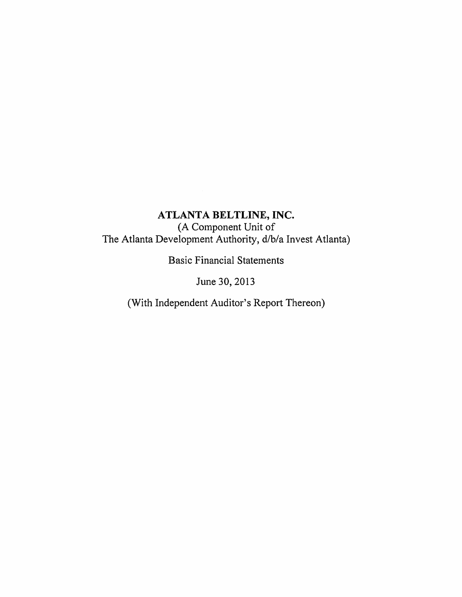# ATLANTA BELTLINE, INC. (A Component Unit of The Atlanta Development Authority, d/b/a Invest Atlanta)

**Basic Financial Statements** 

June 30, 2013

(With Independent Auditor's Report Thereon)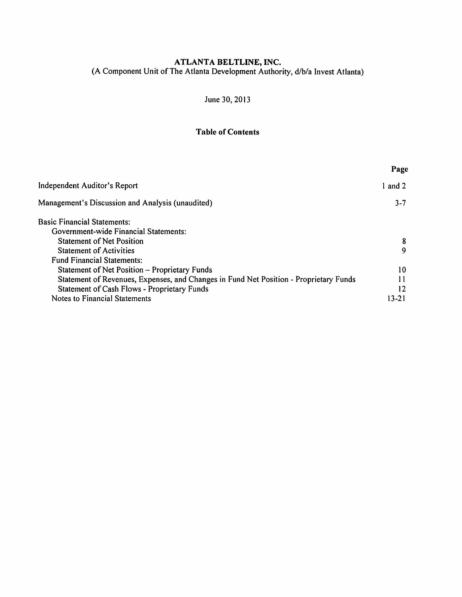(A Component Unit of The Atlanta Development Authority, d/b/a Invest Atlanta)

June 30, 2013

# Table of Contents

|                                                                                       | Page    |
|---------------------------------------------------------------------------------------|---------|
| Independent Auditor's Report                                                          | l and 2 |
| Management's Discussion and Analysis (unaudited)                                      | $3 - 7$ |
| <b>Basic Financial Statements:</b>                                                    |         |
| Government-wide Financial Statements:                                                 |         |
| <b>Statement of Net Position</b>                                                      |         |
| <b>Statement of Activities</b>                                                        | 9       |
| <b>Fund Financial Statements:</b>                                                     |         |
| Statement of Net Position - Proprietary Funds                                         | 10      |
| Statement of Revenues, Expenses, and Changes in Fund Net Position - Proprietary Funds |         |
| Statement of Cash Flows - Proprietary Funds                                           | 12      |
| Notes to Financial Statements                                                         | 13-21   |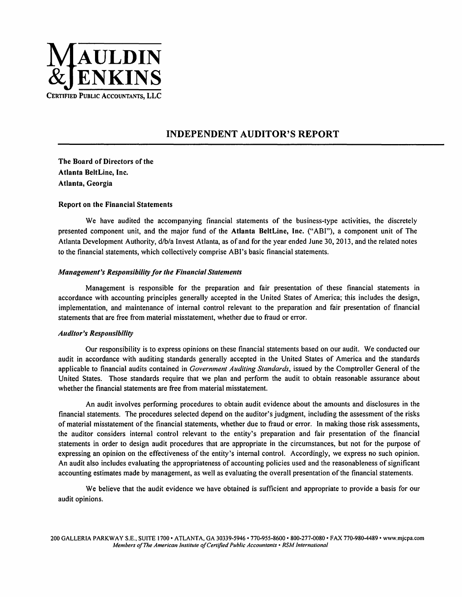

# INDEPENDENT AUDITOR'S REPORT

The Board of Directors of the Atlanta BeltLine, Inc. Atlanta, Georgia

#### Report on the Financial Statements

We have audited the accompanying financial statements of the business-type activities, the discretely presented component unit, and the major fund of the Atlanta BeltLine, Inc. ("ABI"), a component unit of The Atlanta Development Authority, d/b/a Invest Atlanta, as of and for the year ended June 30, 2013, and the related notes to the financial statements, which collectively comprise ABI's basic financial statements.

#### *Management's Responsibility for the Financial Statements*

Management is responsible for the preparation and fair presentation of these financial statements in accordance with accounting principles generally accepted in the United States of America; this includes the design, implementation, and maintenance of internal control relevant to the preparation and fair presentation of financial statements that are free from material misstatement, whether due to fraud or error.

#### *Auditor's Responsibility*

Our responsibility is to express opinions on these financial statements based on our audit. We conducted our audit in accordance with auditing standards generally accepted in the United States of America and the standards applicable to financial audits contained in *Government Auditing Standards,* issued by the Comptroller General of the United States. Those standards require that we plan and perform the audit to obtain reasonable assurance about whether the financial statements are free from material misstatement.

An audit involves performing procedures to obtain audit evidence about the amounts and disclosures in the financial statements. The procedures selected depend on the auditor's judgment, including the assessment of the risks of material misstatement of the financial statements, whether due to fraud or error. In making those risk assessments, the auditor considers internal control relevant to the entity's preparation and fair presentation of the financial statements in order to design audit procedures that are appropriate in the circumstances, but not for the purpose of expressing an opinion on the effectiveness of the entity's internal control. Accordingly, we express no such opinion. An audit also includes evaluating the appropriateness of accounting policies used and the reasonableness of significant accounting estimates made by management, as well as evaluating the overall presentation of the financial statements.

We believe that the audit evidence we have obtained is sufficient and appropriate to provide a basis for our audit opinions.

200 GALLERIA PARKWAY S.E., SUITE 1700 • ATLANTA, GA 30339-5946 • 770-955-8600 • 800-277-0080 • FAX 770-980-4489 • www.mjcpa.com *Members ofThe American Institute of Certified Public Accountants* • *RSM International*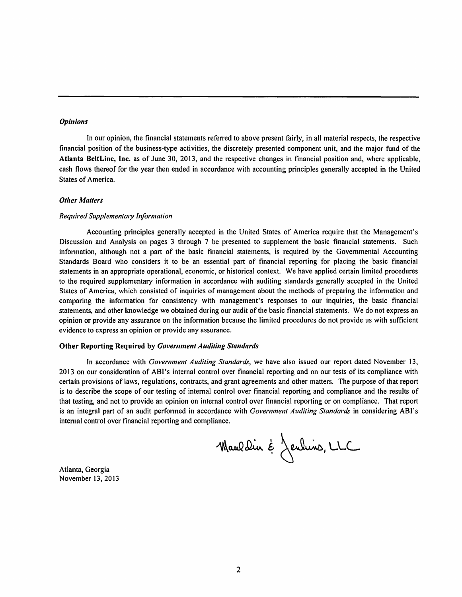#### **Opinions**

In our opinion, the financial statements referred to above present fairly, in all material respects, the respective financial position of the business-type activities, the discretely presented component unit, and the major fund of the Atlanta BeltLine, Inc. as of June 30, 2013, and the respective changes in financial position and, where applicable, cash flows thereof for the year then ended in accordance with accounting principles generally accepted in the United States of America.

#### *Other Matters*

#### *Required Supplementary Information*

Accounting principles generally accepted in the United States of America require that the Management's Discussion and Analysis on pages 3 through 7 be presented to supplement the basic financial statements. Such information, although not a part of the basic financial statements, is required by the Governmental Accounting Standards Board who considers it to be an essential part of financial reporting for placing the basic financial statements in an appropriate operational, economic, or historical context. We have applied certain limited procedures to the required supplementary information in accordance with auditing standards generally accepted in the United States of America, which consisted of inquiries of management about the methods of preparing the information and comparing the information for consistency with management's responses to our inquiries, the basic financial statements, and other knowledge we obtained during our audit of the basic financial statements. We do not express an opinion or provide any assurance on the information because the limited procedures do not provide us with sufficient evidence to express an opinion or provide any assurance.

#### **Other Reporting Required by** *Government Auditing Standards*

In accordance with *Government Auditing Standards,* we have also issued our report dated November 13, 2013 on our consideration of ABI's internal control over financial reporting and on our tests of its compliance with certain provisions of laws, regulations, contracts, and grant agreements and other matters. The purpose of that report is to describe the scope of our testing of internal control over financial reporting and compliance and the results of that testing, and not to provide an opinion on internal control over financial reporting or on compliance. That report is an integral part of an audit performed in accordance with *Government Auditing Standards* in considering ABI's internal control over financial reporting and compliance.

Mauldin & Jenlins, LLC

Atlanta, Georgia November 13, 2013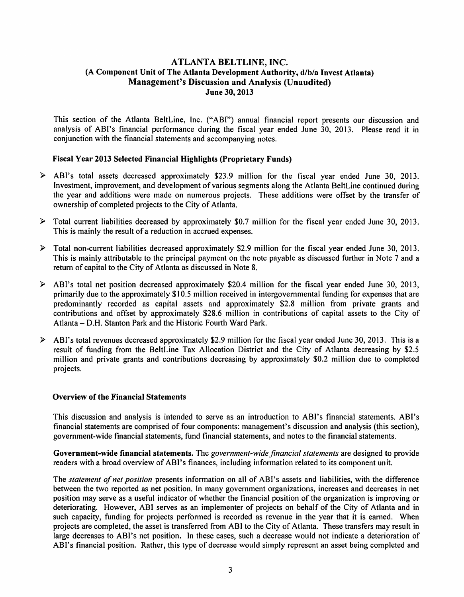## ATLANTA BELTLINE, INC. (A Component Unit of The Atlanta Development Authority, d/b/a Invest Atlanta) Management's Discussion and Analysis (Unaudited) June 30, 2013

This section of the Atlanta BeltLine, Inc. ("ABI'') annual financial report presents our discussion and analysis of ABI's financial performance during the fiscal year ended June 30, 2013. Please read it in conjunction with the financial statements and accompanying notes.

#### Fiscal Year 2013 Selected Financial Highlights (Proprietary Funds)

- » ABI's total assets decreased approximately \$23.9 million for the fiscal year ended June 30, 2013. Investment, improvement, and development of various segments along the Atlanta Be1tLine continued during the year and additions were made on numerous projects. These additions were offset by the transfer of ownership of completed projects to the City of Atlanta.
- » Total current liabilities decreased by approximately \$0.7 million for the fiscal year ended June 30, 2013. This is mainly the result of a reduction in accrued expenses.
- » Total non-current liabilities decreased approximately \$2.9 million for the fiscal year ended June 30, 2013. This is mainly attributable to the principal payment on the note payable as discussed further in Note 7 and a return of capital to the City of Atlanta as discussed in Note 8.
- » ABI's total net position decreased approximately \$20.4 million for the fiscal year ended June 30, 2013, primarily due to the approximately \$10.5 million received in intergovernmental funding for expenses that are predominantly recorded as capital assets and approximately \$2.8 million from private grants and contributions and offset by approximately \$28.6 million in contributions of capital assets to the City of Atlanta- D.H. Stanton Park and the Historic Fourth Ward Park.
- $\triangleright$  ABI's total revenues decreased approximately \$2.9 million for the fiscal year ended June 30, 2013. This is a result of funding from the BeltLine Tax Allocation District and the City of Atlanta decreasing by \$2.5 million and private grants and contributions decreasing by approximately \$0.2 million due to completed projects.

### Overview of the Financial Statements

This discussion and analysis is intended to serve as an introduction to ABI's financial statements. ABI's financial statements are comprised of four components: management's discussion and analysis (this section), government-wide financial statements, fund financial statements, and notes to the financial statements.

Government-wide financial statements. The *government-wide financial statements* are designed to provide readers with a broad overview of ABI's finances, including information related to its component unit.

The *statement of net position* presents information on all of ABI's assets and liabilities, with the difference between the two reported as net position. In many government organizations, increases and decreases in net position may serve as a useful indicator of whether the financial position of the organization is improving or deteriorating. However, ABI serves as an implementer of projects on behalf of the City of Atlanta and in such capacity, funding for projects performed is recorded as revenue in the year that it is earned. When projects are completed, the asset is transferred from ABI to the City of Atlanta. These transfers may result in large decreases to ABI's net position. In these cases, such a decrease would not indicate a deterioration of ABI's financial position. Rather, this type of decrease would simply represent an asset being completed and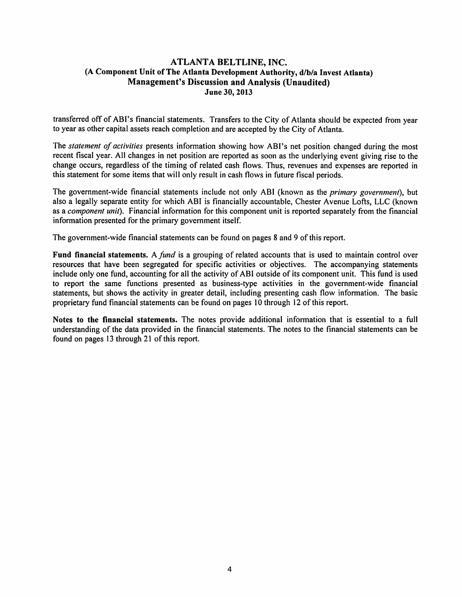## ATLANTA BELTLINE, INC. (A Component Unit of The Atlanta Development Authority, d/b/a Invest Atlanta) Management's Discussion and Analysis (Unaudited) June 30, 2013

transferred off of ABI's financial statements. Transfers to the City of Atlanta should be expected from year to year as other capital assets reach completion and are accepted by the City of Atlanta.

The *statement of activities* presents information showing how ABI's net position changed during the most recent fiscal year. All changes in net position are reported as soon as the underlying event giving rise to the change occurs, regardless of the timing of related cash flows. Thus, revenues and expenses are reported in this statement for some items that will only result in cash flows in future fiscal periods.

The government-wide financial statements include not only ABI (known as the *primary government),* but also a legally separate entity for which ABI is financially accountable, Chester Avenue Lofts, LLC (known as a *component unit).* Financial information for this component unit is reported separately from the financial information presented for the primary government itself.

The government-wide financial statements can be found on pages 8 and 9 of this report.

Fund financial statements. A *fund* is a grouping of related accounts that is used to maintain control over resources that have been segregated for specific activities or objectives. The accompanying statements include only one fund, accounting for all the activity of ABI outside of its component unit. This fund is used to report the same functions presented as business-type activities in the government-wide financial statements, but shows the activity in greater detail, including presenting cash flow information. The basic proprietary fund financial statements can be found on pages I 0 through 12 of this report.

Notes to the financial statements. The notes provide additional information that is essential to a full understanding of the data provided in the financial statements. The notes to the financial statements can be found on pages 13 through 21 of this report.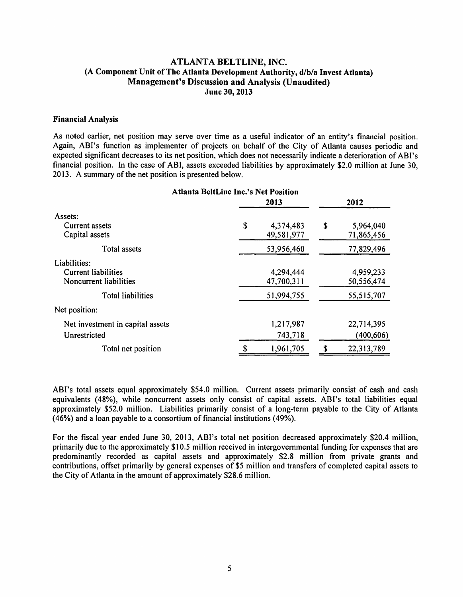### ATLANTA BELTLINE, INC. (A Component Unit of The Atlanta Development Authority, d/b/a Invest Atlanta) Management's Discussion and Analysis (Unaudited) June 30, 2013

#### Financial Analysis

As noted earlier, net position may serve over time as a useful indicator of an entity's financial position. Again, ABI's function as implementer of projects on behalf of the City of Atlanta causes periodic and expected significant decreases to its net position, which does not necessarily indicate a deterioration of ABI's financial position. In the case of ABI, assets exceeded liabilities by approximately \$2.0 million at June 30, 2013. A summary of the net position is presented below.

|  | <b>Atlanta BeltLine Inc.'s Net Position</b> |  |  |  |
|--|---------------------------------------------|--|--|--|
|--|---------------------------------------------|--|--|--|

|                                                                                                  | 2013                                  |   | 2012                                  |  |  |
|--------------------------------------------------------------------------------------------------|---------------------------------------|---|---------------------------------------|--|--|
| Assets:<br>Current assets<br>Capital assets                                                      | \$<br>4,374,483<br>49,581,977         | S | 5,964,040<br>71,865,456               |  |  |
| Total assets                                                                                     | 53,956,460                            |   | 77,829,496                            |  |  |
| Liabilities:<br><b>Current liabilities</b><br>Noncurrent liabilities<br><b>Total liabilities</b> | 4,294,444<br>47,700,311<br>51,994,755 |   | 4,959,233<br>50,556,474<br>55,515,707 |  |  |
| Net position:                                                                                    |                                       |   |                                       |  |  |
| Net investment in capital assets<br>Unrestricted                                                 | 1,217,987<br>743,718                  |   | 22,714,395<br>(400, 606)              |  |  |
| Total net position                                                                               | 1,961,705                             |   | 22,313,789                            |  |  |

ABI's total assets equal approximately \$54.0 million. Current assets primarily consist of cash and cash equivalents (48%), while noncurrent assets only consist of capital assets. ABI's total liabilities equal approximately \$52.0 million. Liabilities primarily consist of a long-term payable to the City of Atlanta (46%) and a loan payable to a consortium of financial institutions (49%).

For the fiscal year ended June 30, 2013, ABI's total net position decreased approximately \$20.4 million, primarily due to the approximately \$10.5 million received in intergovernmental funding for expenses that are predominantly recorded as capital assets and approximately \$2.8 million from private grants and contributions, offset primarily by general expenses of \$5 million and transfers of completed capital assets to the City of Atlanta in the amount of approximately \$28.6 million.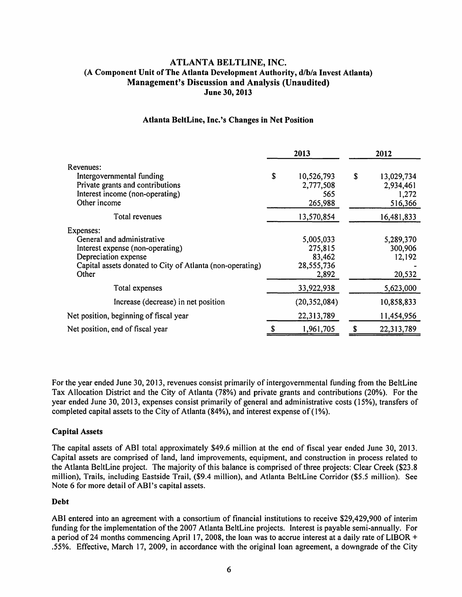## ATLANTA BELTLINE, INC. (A Component Unit of The Atlanta Development Authority, d/b/a Invest Atlanta) Management's Discussion and Analysis (Unaudited) June 30,2013

#### Atlanta BeltLine, Inc.'s Changes in Net Position

|                                                           | 2013             | 2012             |
|-----------------------------------------------------------|------------------|------------------|
| Revenues:                                                 |                  |                  |
| Intergovernmental funding                                 | \$<br>10,526,793 | \$<br>13,029,734 |
| Private grants and contributions                          | 2,777,508        | 2,934,461        |
| Interest income (non-operating)                           | 565              | 1,272            |
| Other income                                              | 265,988          | 516,366          |
| Total revenues                                            | 13,570,854       | 16,481,833       |
| Expenses:                                                 |                  |                  |
| General and administrative                                | 5,005,033        | 5,289,370        |
| Interest expense (non-operating)                          | 275,815          | 300,906          |
| Depreciation expense                                      | 83,462           | 12,192           |
| Capital assets donated to City of Atlanta (non-operating) | 28,555,736       |                  |
| Other                                                     | 2,892            | 20,532           |
| Total expenses                                            | 33,922,938       | 5,623,000        |
| Increase (decrease) in net position                       | (20, 352, 084)   | 10,858,833       |
| Net position, beginning of fiscal year                    | 22,313,789       | 11,454,956       |
| Net position, end of fiscal year                          | 1,961,705        | 22,313,789       |

For the year ended June 30, 2013, revenues consist primarily of intergovernmental funding from the BeltLine Tax Allocation District and the City of Atlanta (78%) and private grants and contributions (20%). For the year ended June 30, 2013, expenses consist primarily of general and administrative costs (15%), transfers of completed capital assets to the City of Atlanta (84% ), and interest expense of ( 1% ).

#### Capital Assets

The capital assets of ABI total approximately \$49.6 million at the end of fiscal year ended June 30, 2013. Capital assets are comprised of land, land improvements, equipment, and construction in process related to the Atlanta BeltLine project. The majority of this balance is comprised of three projects: Clear Creek (\$23.8 million), Trails, including Eastside Trail, (\$9.4 million), and Atlanta BeltLine Corridor (\$5.5 million). See Note 6 for more detail of ABI's capital assets.

#### Debt

ABI entered into an agreement with a consortium of financial institutions to receive \$29,429,900 of interim funding for the implementation of the 2007 Atlanta BeltLine projects. Interest is payable semi-annually. For a period of 24 months commencing April 17, 2008, the loan was to accrue interest at a daily rate of LIBOR + .55%. Effective, March 17, 2009, in accordance with the original loan agreement, a downgrade of the City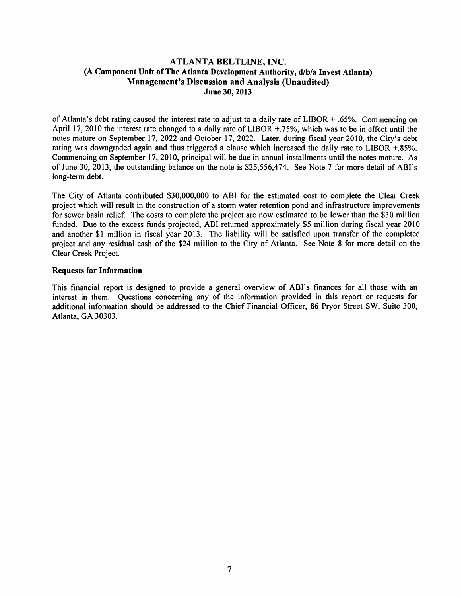## ATLANTA BELTLINE, INC. (A Component Unit of The Atlanta Development Authority, d/b/a Invest Atlanta) Management's Discussion and Analysis (Unaudited) June 30, 2013

of Atlanta's debt rating caused the interest rate to adjust to a daily rate of  $LIBOR + .65%$ . Commencing on April 17, 2010 the interest rate changed to a daily rate of LIBOR +. 75%, which was to be in effect until the notes mature on September 17, 2022 and October 17, 2022. Later, during fiscal year 2010, the City's debt rating was downgraded again and thus triggered a clause which increased the daily rate to LIBOR +.85%. Commencing on September 17, 2010, principal will be due in annual installments until the notes mature. As of June 30, 2013, the outstanding balance on the note is \$25,556,474. See Note 7 for more detail of ABI's long-term debt.

The City of Atlanta contributed \$30,000,000 to ABI for the estimated cost to complete the Clear Creek project which will result in the construction of a storm water retention pond and infrastructure improvements for sewer basin relief. The costs to complete the project are now estimated to be lower than the \$30 million funded. Due to the excess funds projected, ABI returned approximately \$5 million during fiscal year 2010 and another \$1 million in fiscal year 2013. The liability will be satisfied upon transfer of the completed project and any residual cash of the \$24 million to the City of Atlanta. See Note 8 for more detail on the Clear Creek Project.

#### Requests for Information

This financial report is designed to provide a general overview of ABI's finances for all those with an interest in them. Questions concerning any of the information provided in this report or requests for additional information should be addressed to the Chief Financial Officer, 86 Pryor Street SW, Suite 300, Atlanta, GA 30303.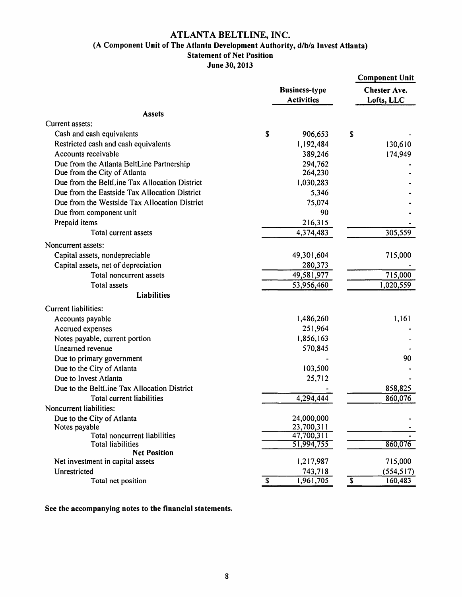## (A Component Unit of The Atlanta Development Authority, d/b/a Invest Atlanta)

#### Statement of Net Position

June 30, 2013

| <b>Business-type</b><br><b>Chester Ave.</b><br><b>Activities</b><br>Lofts, LLC<br><b>Assets</b><br>Current assets:<br>\$<br>Cash and cash equivalents<br>\$<br>906,653<br>Restricted cash and cash equivalents<br>1,192,484<br>130,610<br>Accounts receivable<br>389,246<br>174,949<br>Due from the Atlanta BeltLine Partnership<br>294,762<br>Due from the City of Atlanta<br>264,230<br>Due from the BeltLine Tax Allocation District<br>1,030,283<br>Due from the Eastside Tax Allocation District<br>5,346<br>Due from the Westside Tax Allocation District<br>75,074<br>90<br>Due from component unit<br>Prepaid items<br>216,315<br>305,559<br>4,374,483<br>Total current assets<br>Noncurrent assets:<br>Capital assets, nondepreciable<br>49,301,604<br>715,000<br>Capital assets, net of depreciation<br>280,373<br>Total noncurrent assets<br>49,581,977<br>715,000<br><b>Total assets</b><br>53,956,460<br>1,020,559<br><b>Liabilities</b><br><b>Current liabilities:</b><br>1,161<br>Accounts payable<br>1,486,260<br>Accrued expenses<br>251,964<br>1,856,163<br>Notes payable, current portion<br>Unearned revenue<br>570,845<br>90<br>Due to primary government<br>103,500<br>Due to the City of Atlanta<br>Due to Invest Atlanta<br>25,712<br>Due to the BeltLine Tax Allocation District<br>858,825<br>Total current liabilities<br>4,294,444<br>860,076<br>Noncurrent liabilities:<br>24,000,000<br>Due to the City of Atlanta<br>23,700,311<br>Notes payable<br>Total noncurrent liabilities<br>47,700,311<br>860,076<br>51,994,755<br><b>Total liabilities</b><br><b>Net Position</b><br>1,217,987<br>Net investment in capital assets<br>715,000<br>Unrestricted<br>743,718<br>(554, 517)<br>Total net position<br>$\mathbb S$<br>1,961,705<br>$\pmb{\mathbb{S}}$<br>160,483 |  | <b>Component Unit</b> |
|---------------------------------------------------------------------------------------------------------------------------------------------------------------------------------------------------------------------------------------------------------------------------------------------------------------------------------------------------------------------------------------------------------------------------------------------------------------------------------------------------------------------------------------------------------------------------------------------------------------------------------------------------------------------------------------------------------------------------------------------------------------------------------------------------------------------------------------------------------------------------------------------------------------------------------------------------------------------------------------------------------------------------------------------------------------------------------------------------------------------------------------------------------------------------------------------------------------------------------------------------------------------------------------------------------------------------------------------------------------------------------------------------------------------------------------------------------------------------------------------------------------------------------------------------------------------------------------------------------------------------------------------------------------------------------------------------------------------------------------------------------------------------------------------------|--|-----------------------|
|                                                                                                                                                                                                                                                                                                                                                                                                                                                                                                                                                                                                                                                                                                                                                                                                                                                                                                                                                                                                                                                                                                                                                                                                                                                                                                                                                                                                                                                                                                                                                                                                                                                                                                                                                                                                   |  |                       |
|                                                                                                                                                                                                                                                                                                                                                                                                                                                                                                                                                                                                                                                                                                                                                                                                                                                                                                                                                                                                                                                                                                                                                                                                                                                                                                                                                                                                                                                                                                                                                                                                                                                                                                                                                                                                   |  |                       |
|                                                                                                                                                                                                                                                                                                                                                                                                                                                                                                                                                                                                                                                                                                                                                                                                                                                                                                                                                                                                                                                                                                                                                                                                                                                                                                                                                                                                                                                                                                                                                                                                                                                                                                                                                                                                   |  |                       |
|                                                                                                                                                                                                                                                                                                                                                                                                                                                                                                                                                                                                                                                                                                                                                                                                                                                                                                                                                                                                                                                                                                                                                                                                                                                                                                                                                                                                                                                                                                                                                                                                                                                                                                                                                                                                   |  |                       |
|                                                                                                                                                                                                                                                                                                                                                                                                                                                                                                                                                                                                                                                                                                                                                                                                                                                                                                                                                                                                                                                                                                                                                                                                                                                                                                                                                                                                                                                                                                                                                                                                                                                                                                                                                                                                   |  |                       |
|                                                                                                                                                                                                                                                                                                                                                                                                                                                                                                                                                                                                                                                                                                                                                                                                                                                                                                                                                                                                                                                                                                                                                                                                                                                                                                                                                                                                                                                                                                                                                                                                                                                                                                                                                                                                   |  |                       |
|                                                                                                                                                                                                                                                                                                                                                                                                                                                                                                                                                                                                                                                                                                                                                                                                                                                                                                                                                                                                                                                                                                                                                                                                                                                                                                                                                                                                                                                                                                                                                                                                                                                                                                                                                                                                   |  |                       |
|                                                                                                                                                                                                                                                                                                                                                                                                                                                                                                                                                                                                                                                                                                                                                                                                                                                                                                                                                                                                                                                                                                                                                                                                                                                                                                                                                                                                                                                                                                                                                                                                                                                                                                                                                                                                   |  |                       |
|                                                                                                                                                                                                                                                                                                                                                                                                                                                                                                                                                                                                                                                                                                                                                                                                                                                                                                                                                                                                                                                                                                                                                                                                                                                                                                                                                                                                                                                                                                                                                                                                                                                                                                                                                                                                   |  |                       |
|                                                                                                                                                                                                                                                                                                                                                                                                                                                                                                                                                                                                                                                                                                                                                                                                                                                                                                                                                                                                                                                                                                                                                                                                                                                                                                                                                                                                                                                                                                                                                                                                                                                                                                                                                                                                   |  |                       |
|                                                                                                                                                                                                                                                                                                                                                                                                                                                                                                                                                                                                                                                                                                                                                                                                                                                                                                                                                                                                                                                                                                                                                                                                                                                                                                                                                                                                                                                                                                                                                                                                                                                                                                                                                                                                   |  |                       |
|                                                                                                                                                                                                                                                                                                                                                                                                                                                                                                                                                                                                                                                                                                                                                                                                                                                                                                                                                                                                                                                                                                                                                                                                                                                                                                                                                                                                                                                                                                                                                                                                                                                                                                                                                                                                   |  |                       |
|                                                                                                                                                                                                                                                                                                                                                                                                                                                                                                                                                                                                                                                                                                                                                                                                                                                                                                                                                                                                                                                                                                                                                                                                                                                                                                                                                                                                                                                                                                                                                                                                                                                                                                                                                                                                   |  |                       |
|                                                                                                                                                                                                                                                                                                                                                                                                                                                                                                                                                                                                                                                                                                                                                                                                                                                                                                                                                                                                                                                                                                                                                                                                                                                                                                                                                                                                                                                                                                                                                                                                                                                                                                                                                                                                   |  |                       |
|                                                                                                                                                                                                                                                                                                                                                                                                                                                                                                                                                                                                                                                                                                                                                                                                                                                                                                                                                                                                                                                                                                                                                                                                                                                                                                                                                                                                                                                                                                                                                                                                                                                                                                                                                                                                   |  |                       |
|                                                                                                                                                                                                                                                                                                                                                                                                                                                                                                                                                                                                                                                                                                                                                                                                                                                                                                                                                                                                                                                                                                                                                                                                                                                                                                                                                                                                                                                                                                                                                                                                                                                                                                                                                                                                   |  |                       |
|                                                                                                                                                                                                                                                                                                                                                                                                                                                                                                                                                                                                                                                                                                                                                                                                                                                                                                                                                                                                                                                                                                                                                                                                                                                                                                                                                                                                                                                                                                                                                                                                                                                                                                                                                                                                   |  |                       |
|                                                                                                                                                                                                                                                                                                                                                                                                                                                                                                                                                                                                                                                                                                                                                                                                                                                                                                                                                                                                                                                                                                                                                                                                                                                                                                                                                                                                                                                                                                                                                                                                                                                                                                                                                                                                   |  |                       |
|                                                                                                                                                                                                                                                                                                                                                                                                                                                                                                                                                                                                                                                                                                                                                                                                                                                                                                                                                                                                                                                                                                                                                                                                                                                                                                                                                                                                                                                                                                                                                                                                                                                                                                                                                                                                   |  |                       |
|                                                                                                                                                                                                                                                                                                                                                                                                                                                                                                                                                                                                                                                                                                                                                                                                                                                                                                                                                                                                                                                                                                                                                                                                                                                                                                                                                                                                                                                                                                                                                                                                                                                                                                                                                                                                   |  |                       |
|                                                                                                                                                                                                                                                                                                                                                                                                                                                                                                                                                                                                                                                                                                                                                                                                                                                                                                                                                                                                                                                                                                                                                                                                                                                                                                                                                                                                                                                                                                                                                                                                                                                                                                                                                                                                   |  |                       |
|                                                                                                                                                                                                                                                                                                                                                                                                                                                                                                                                                                                                                                                                                                                                                                                                                                                                                                                                                                                                                                                                                                                                                                                                                                                                                                                                                                                                                                                                                                                                                                                                                                                                                                                                                                                                   |  |                       |
|                                                                                                                                                                                                                                                                                                                                                                                                                                                                                                                                                                                                                                                                                                                                                                                                                                                                                                                                                                                                                                                                                                                                                                                                                                                                                                                                                                                                                                                                                                                                                                                                                                                                                                                                                                                                   |  |                       |
|                                                                                                                                                                                                                                                                                                                                                                                                                                                                                                                                                                                                                                                                                                                                                                                                                                                                                                                                                                                                                                                                                                                                                                                                                                                                                                                                                                                                                                                                                                                                                                                                                                                                                                                                                                                                   |  |                       |
|                                                                                                                                                                                                                                                                                                                                                                                                                                                                                                                                                                                                                                                                                                                                                                                                                                                                                                                                                                                                                                                                                                                                                                                                                                                                                                                                                                                                                                                                                                                                                                                                                                                                                                                                                                                                   |  |                       |
|                                                                                                                                                                                                                                                                                                                                                                                                                                                                                                                                                                                                                                                                                                                                                                                                                                                                                                                                                                                                                                                                                                                                                                                                                                                                                                                                                                                                                                                                                                                                                                                                                                                                                                                                                                                                   |  |                       |
|                                                                                                                                                                                                                                                                                                                                                                                                                                                                                                                                                                                                                                                                                                                                                                                                                                                                                                                                                                                                                                                                                                                                                                                                                                                                                                                                                                                                                                                                                                                                                                                                                                                                                                                                                                                                   |  |                       |
|                                                                                                                                                                                                                                                                                                                                                                                                                                                                                                                                                                                                                                                                                                                                                                                                                                                                                                                                                                                                                                                                                                                                                                                                                                                                                                                                                                                                                                                                                                                                                                                                                                                                                                                                                                                                   |  |                       |
|                                                                                                                                                                                                                                                                                                                                                                                                                                                                                                                                                                                                                                                                                                                                                                                                                                                                                                                                                                                                                                                                                                                                                                                                                                                                                                                                                                                                                                                                                                                                                                                                                                                                                                                                                                                                   |  |                       |
|                                                                                                                                                                                                                                                                                                                                                                                                                                                                                                                                                                                                                                                                                                                                                                                                                                                                                                                                                                                                                                                                                                                                                                                                                                                                                                                                                                                                                                                                                                                                                                                                                                                                                                                                                                                                   |  |                       |
|                                                                                                                                                                                                                                                                                                                                                                                                                                                                                                                                                                                                                                                                                                                                                                                                                                                                                                                                                                                                                                                                                                                                                                                                                                                                                                                                                                                                                                                                                                                                                                                                                                                                                                                                                                                                   |  |                       |
|                                                                                                                                                                                                                                                                                                                                                                                                                                                                                                                                                                                                                                                                                                                                                                                                                                                                                                                                                                                                                                                                                                                                                                                                                                                                                                                                                                                                                                                                                                                                                                                                                                                                                                                                                                                                   |  |                       |
|                                                                                                                                                                                                                                                                                                                                                                                                                                                                                                                                                                                                                                                                                                                                                                                                                                                                                                                                                                                                                                                                                                                                                                                                                                                                                                                                                                                                                                                                                                                                                                                                                                                                                                                                                                                                   |  |                       |
|                                                                                                                                                                                                                                                                                                                                                                                                                                                                                                                                                                                                                                                                                                                                                                                                                                                                                                                                                                                                                                                                                                                                                                                                                                                                                                                                                                                                                                                                                                                                                                                                                                                                                                                                                                                                   |  |                       |
|                                                                                                                                                                                                                                                                                                                                                                                                                                                                                                                                                                                                                                                                                                                                                                                                                                                                                                                                                                                                                                                                                                                                                                                                                                                                                                                                                                                                                                                                                                                                                                                                                                                                                                                                                                                                   |  |                       |
|                                                                                                                                                                                                                                                                                                                                                                                                                                                                                                                                                                                                                                                                                                                                                                                                                                                                                                                                                                                                                                                                                                                                                                                                                                                                                                                                                                                                                                                                                                                                                                                                                                                                                                                                                                                                   |  |                       |
|                                                                                                                                                                                                                                                                                                                                                                                                                                                                                                                                                                                                                                                                                                                                                                                                                                                                                                                                                                                                                                                                                                                                                                                                                                                                                                                                                                                                                                                                                                                                                                                                                                                                                                                                                                                                   |  |                       |
|                                                                                                                                                                                                                                                                                                                                                                                                                                                                                                                                                                                                                                                                                                                                                                                                                                                                                                                                                                                                                                                                                                                                                                                                                                                                                                                                                                                                                                                                                                                                                                                                                                                                                                                                                                                                   |  |                       |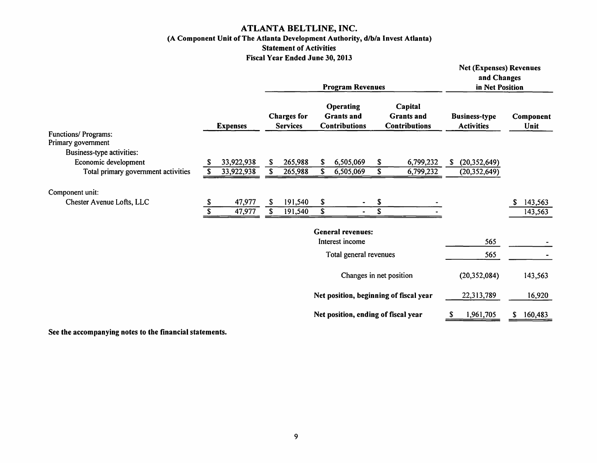## ATLANTA BELTLINE, INC. (A Component Unit of The Atlanta Development Authority, d/b/a Invest Atlanta)

## Statement of Activities

## Fiscal Year Ended June 30,2013

|                                            |             |            | <b>Program Revenues</b>                                  |         |                                                        |                                     |                                                      |                                        | <b>Net (Expenses) Revenues</b><br>and Changes<br>in Net Position |                   |  |
|--------------------------------------------|-------------|------------|----------------------------------------------------------|---------|--------------------------------------------------------|-------------------------------------|------------------------------------------------------|----------------------------------------|------------------------------------------------------------------|-------------------|--|
|                                            |             |            | <b>Charges for</b><br><b>Expenses</b><br><b>Services</b> |         | Operating<br><b>Grants</b> and<br><b>Contributions</b> |                                     | Capital<br><b>Grants</b> and<br><b>Contributions</b> |                                        | <b>Business-type</b><br><b>Activities</b>                        | Component<br>Unit |  |
| Functions/ Programs:<br>Primary government |             |            |                                                          |         |                                                        |                                     |                                                      |                                        |                                                                  |                   |  |
| Business-type activities:                  |             |            |                                                          |         |                                                        |                                     |                                                      |                                        |                                                                  |                   |  |
| Economic development                       | S           | 33,922,938 | S.                                                       | 265,988 | \$                                                     | 6,505,069                           | S.                                                   | 6,799,232                              | (20, 352, 649)<br>S                                              |                   |  |
| Total primary government activities        | S           | 33,922,938 | \$                                                       | 265,988 | \$                                                     | 6,505,069                           | \$                                                   | 6,799,232                              | (20, 352, 649)                                                   |                   |  |
| Component unit:                            |             |            |                                                          |         |                                                        |                                     |                                                      |                                        |                                                                  |                   |  |
| Chester Avenue Lofts, LLC                  | $rac{s}{s}$ | 47,977     | \$                                                       | 191,540 | \$                                                     |                                     | \$                                                   |                                        |                                                                  | 143,563<br>S      |  |
|                                            |             | 47,977     | \$                                                       | 191,540 | \$                                                     |                                     | \$                                                   |                                        |                                                                  | 143,563           |  |
|                                            |             |            |                                                          |         |                                                        | <b>General revenues:</b>            |                                                      |                                        |                                                                  |                   |  |
|                                            |             |            |                                                          |         |                                                        | Interest income                     |                                                      |                                        | 565                                                              |                   |  |
|                                            |             |            |                                                          |         |                                                        | Total general revenues              |                                                      |                                        | 565                                                              |                   |  |
|                                            |             |            |                                                          |         |                                                        | Changes in net position             |                                                      |                                        | (20, 352, 084)                                                   | 143,563           |  |
|                                            |             |            |                                                          |         |                                                        |                                     |                                                      | Net position, beginning of fiscal year | 22,313,789                                                       | 16,920            |  |
|                                            |             |            |                                                          |         |                                                        | Net position, ending of fiscal year |                                                      |                                        | \$<br>1,961,705                                                  | 160,483<br>S.     |  |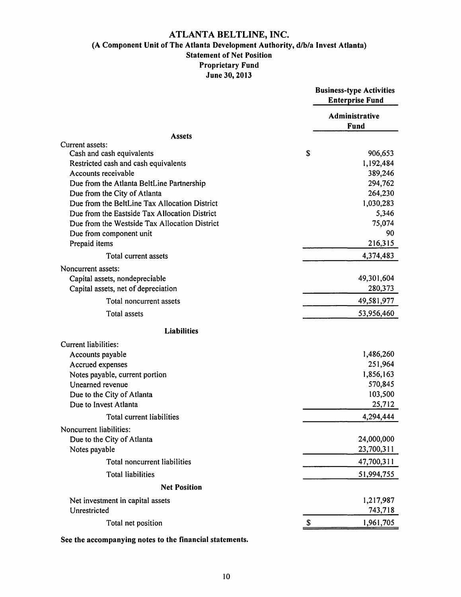## (A Component Unit of The Atlanta Development Authority, d/b/a Invest Atlanta)

## Statement of Net Position

Proprietary Fund

June 30, 2013

|                                                                   | <b>Business-type Activities</b><br><b>Enterprise Fund</b> |
|-------------------------------------------------------------------|-----------------------------------------------------------|
|                                                                   | Administrative<br><b>Fund</b>                             |
| <b>Assets</b>                                                     |                                                           |
| Current assets:                                                   | \$                                                        |
| Cash and cash equivalents<br>Restricted cash and cash equivalents | 906,653<br>1,192,484                                      |
| Accounts receivable                                               | 389,246                                                   |
| Due from the Atlanta BeltLine Partnership                         | 294,762                                                   |
| Due from the City of Atlanta                                      | 264,230                                                   |
| Due from the BeltLine Tax Allocation District                     | 1,030,283                                                 |
| Due from the Eastside Tax Allocation District                     | 5,346                                                     |
| Due from the Westside Tax Allocation District                     | 75,074                                                    |
| Due from component unit                                           | 90                                                        |
| Prepaid items                                                     | 216,315                                                   |
| Total current assets                                              | 4,374,483                                                 |
| Noncurrent assets:                                                |                                                           |
| Capital assets, nondepreciable                                    | 49,301,604                                                |
| Capital assets, net of depreciation                               | 280,373                                                   |
| Total noncurrent assets                                           | 49,581,977                                                |
| <b>Total assets</b>                                               | 53,956,460                                                |
| <b>Liabilities</b>                                                |                                                           |
| Current liabilities:                                              |                                                           |
| Accounts payable                                                  | 1,486,260                                                 |
| Accrued expenses                                                  | 251,964                                                   |
| Notes payable, current portion                                    | 1,856,163                                                 |
| Unearned revenue                                                  | 570,845                                                   |
| Due to the City of Atlanta                                        | 103,500                                                   |
| Due to Invest Atlanta                                             | 25,712                                                    |
| Total current liabilities                                         | 4,294,444                                                 |
| Noncurrent liabilities:                                           |                                                           |
| Due to the City of Atlanta                                        | 24,000,000                                                |
| Notes payable                                                     | 23,700,311                                                |
| Total noncurrent liabilities                                      | 47,700,311                                                |
| <b>Total liabilities</b>                                          | 51,994,755                                                |
| <b>Net Position</b>                                               |                                                           |
| Net investment in capital assets                                  | 1,217,987                                                 |
| Unrestricted                                                      | 743,718                                                   |
| Total net position                                                | \$<br>1,961,705                                           |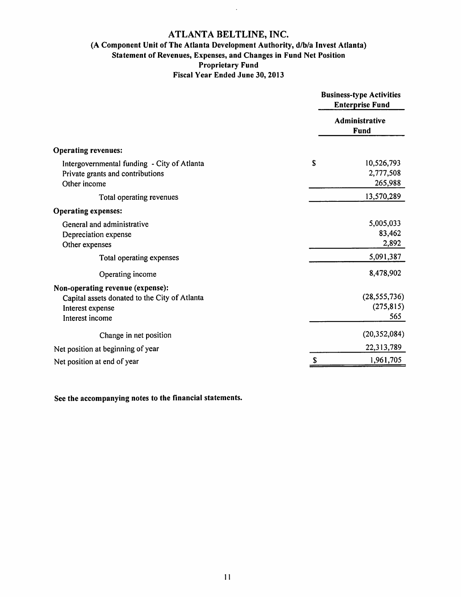## (A Component Unit of The Atlanta Development Authority, d/b/a Invest Atlanta) Statement of Revenues, Expenses, and Changes in Fund Net Position Proprietary Fund Fiscal Year Ended June 30, 2013

|                                                                                                                          | <b>Business-type Activities</b><br><b>Enterprise Fund</b> |
|--------------------------------------------------------------------------------------------------------------------------|-----------------------------------------------------------|
|                                                                                                                          | Administrative<br><b>Fund</b>                             |
| <b>Operating revenues:</b>                                                                                               |                                                           |
| Intergovernmental funding - City of Atlanta<br>Private grants and contributions<br>Other income                          | \$<br>10,526,793<br>2,777,508<br>265,988                  |
| Total operating revenues                                                                                                 | 13,570,289                                                |
| <b>Operating expenses:</b>                                                                                               |                                                           |
| General and administrative<br>Depreciation expense<br>Other expenses                                                     | 5,005,033<br>83,462<br>2,892                              |
| Total operating expenses                                                                                                 | 5,091,387                                                 |
| Operating income                                                                                                         | 8,478,902                                                 |
| Non-operating revenue (expense):<br>Capital assets donated to the City of Atlanta<br>Interest expense<br>Interest income | (28, 555, 736)<br>(275, 815)<br>565                       |
| Change in net position                                                                                                   | (20, 352, 084)                                            |
| Net position at beginning of year                                                                                        | 22,313,789                                                |
| Net position at end of year                                                                                              | \$<br>1,961,705                                           |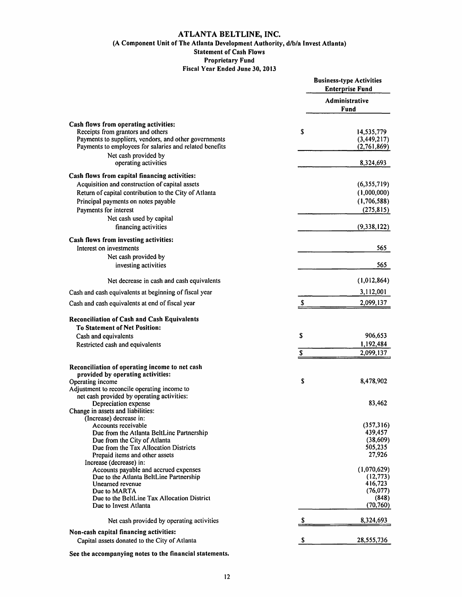#### (A Component Unit of The Atlanta Development Authority, d/b/a Invest Atlanta)

#### Statement of Cash Flows

Proprietary Fund

#### Fiscal Year Ended June 30, 2013

|                                                                                                                                                                                                                                                                              |      | <b>Business-type Activities</b><br><b>Enterprise Fund</b>              |
|------------------------------------------------------------------------------------------------------------------------------------------------------------------------------------------------------------------------------------------------------------------------------|------|------------------------------------------------------------------------|
|                                                                                                                                                                                                                                                                              |      | Administrative<br>Fund                                                 |
| Cash flows from operating activities:<br>Receipts from grantors and others<br>Payments to suppliers, vendors, and other governments<br>Payments to employees for salaries and related benefits                                                                               | \$   | 14,535,779<br>(3, 449, 217)<br>(2,761,869)                             |
| Net cash provided by<br>operating activities                                                                                                                                                                                                                                 |      | 8,324,693                                                              |
| Cash flows from capital financing activities:<br>Acquisition and construction of capital assets<br>Return of capital contribution to the City of Atlanta<br>Principal payments on notes payable<br>Payments for interest<br>Net cash used by capital<br>financing activities |      | (6,355,719)<br>(1,000,000)<br>(1,706,588)<br>(275, 815)<br>(9,338,122) |
| Cash flows from investing activities:<br>Interest on investments<br>Net cash provided by<br>investing activities                                                                                                                                                             |      | 565<br>565                                                             |
| Net decrease in cash and cash equivalents                                                                                                                                                                                                                                    |      | (1,012,864)                                                            |
| Cash and cash equivalents at beginning of fiscal year                                                                                                                                                                                                                        |      | 3,112,001                                                              |
| Cash and cash equivalents at end of fiscal year                                                                                                                                                                                                                              | \$   | 2,099,137                                                              |
| <b>Reconciliation of Cash and Cash Equivalents</b><br><b>To Statement of Net Position:</b><br>Cash and equivalents                                                                                                                                                           | S    | 906,653                                                                |
| Restricted cash and equivalents                                                                                                                                                                                                                                              | \$   | 1,192,484<br>2,099,137                                                 |
| Reconciliation of operating income to net cash<br>provided by operating activities:<br>Operating income<br>Adjustment to reconcile operating income to<br>net cash provided by operating activities:<br>Depreciation expense<br>Change in assets and liabilities:            | \$   | 8,478,902<br>83,462                                                    |
| (Increase) decrease in:<br>Accounts receivable<br>Due from the Atlanta BeltLine Partnership<br>Due from the City of Atlanta<br>Due from the Tax Allocation Districts<br>Prepaid items and other assets                                                                       |      | (357,316)<br>439,457<br>(38,609)<br>505,235<br>27,926                  |
| Increase (decrease) in:<br>Accounts payable and accrued expenses<br>Due to the Atlanta BeltLine Partnership<br>Unearned revenue<br>Due to MARTA<br>Due to the BeltLine Tax Allocation District<br>Due to Invest Atlanta                                                      |      | (1,070,629)<br>(12, 773)<br>416,723<br>(76, 077)<br>(848)<br>(70, 760) |
| Net cash provided by operating activities                                                                                                                                                                                                                                    | S.   | 8,324,693                                                              |
| Non-cash capital financing activities:<br>Capital assets donated to the City of Atlanta                                                                                                                                                                                      | - \$ | 28,555,736                                                             |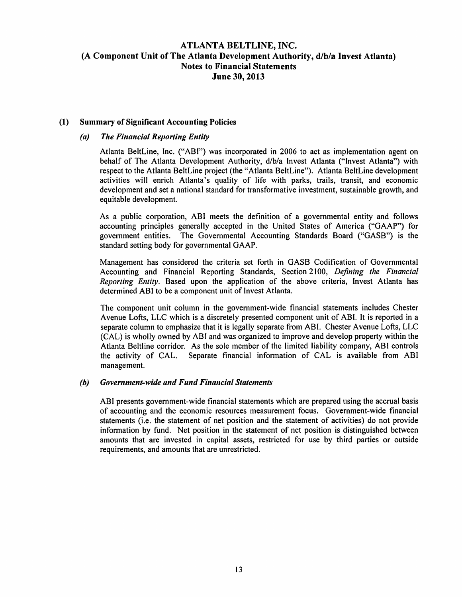#### (1) Summary of Significant Accounting Policies

#### *(a) Tile Financial Reporting Entity*

Atlanta BeltLine, Inc. ("ABI") was incorporated in 2006 to act as implementation agent on behalf of The Atlanta Development Authority, d/b/a Invest Atlanta ("Invest Atlanta") with respect to the Atlanta BeltLine project (the "Atlanta BeltLine"). Atlanta BeltLine development activities will enrich Atlanta's quality of life with parks, trails, transit, and economic development and set a national standard for transformative investment, sustainable growth, and equitable development.

As a public corporation, ABI meets the definition of a governmental entity and follows accounting principles generally accepted in the United States of America ("GAAP") for government entities. The Governmental Accounting Standards Board ("GASB") is the standard setting body for governmental GAAP.

Management has considered the criteria set forth in GASB Codification of Governmental Accounting and Financial Reporting Standards, Section 2100, *Defining the Financial Reporting Entity.* Based upon the application of the above criteria, Invest Atlanta has determined ABI to be a component unit of Invest Atlanta.

The component unit column in the government-wide financial statements includes Chester Avenue Lofts, LLC which is a discretely presented component unit of ABI. It is reported in a separate column to emphasize that it is legally separate from ABI. Chester Avenue Lofts, LLC (CAL) is wholly owned by ABI and was organized to improve and develop property within the Atlanta Beltline corridor. As the sole member of the limited liability company, ABI controls the activity of CAL. Separate financial information of CAL is available from ABI management.

#### *(b)* Government-wide and Fund Financial Statements

ABI presents government-wide financial statements which are prepared using the accrual basis of accounting and the economic resources measurement focus. Government-wide financial statements (i.e. the statement of net position and the statement of activities) do not provide information by fund. Net position in the statement of net position is distinguished between amounts that are invested in capital assets, restricted for use by third parties or outside requirements, and amounts that are unrestricted.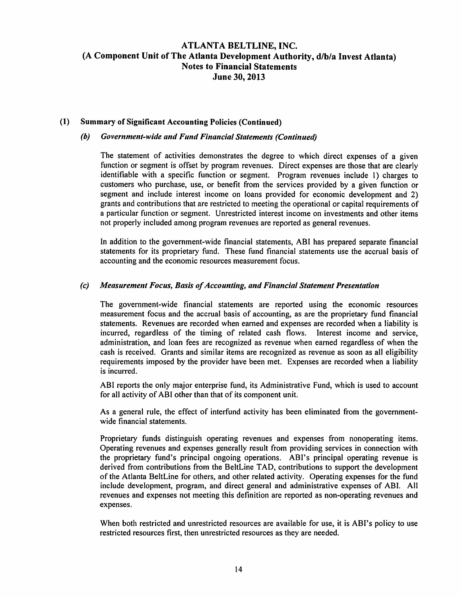## (1) Summary of Significant Accounting Policies (Continued)

#### *(b)* Government-wide and Fund Financial Statements (Continued)

The statement of activities demonstrates the degree to which direct expenses of a given function or segment is offset by program revenues. Direct expenses are those that are clearly identifiable with a specific function or segment. Program revenues include 1) charges to customers who purchase, use, or benefit from the services provided by a given function or segment and include interest income on loans provided for economic development and 2) grants and contributions that are restricted to meeting the operational or capital requirements of a particular function or segment. Unrestricted interest income on investments and other items not properly included among program revenues are reported as general revenues.

In addition to the government-wide financial statements, ABI has prepared separate financial statements for its proprietary fund. These fund financial statements use the accrual basis of accounting and the economic resources measurement focus.

#### *(c)* Measurement Focus, Basis of Accounting, and Financial Statement Presentation

The government-wide financial statements are reported using the economic resources measurement focus and the accrual basis of accounting, as are the proprietary fund financial statements. Revenues are recorded when earned and expenses are recorded when a liability is incurred, regardless of the timing of related cash flows. Interest income and service, administration, and loan fees are recognized as revenue when earned regardless of when the cash is received. Grants and similar items are recognized as revenue as soon as all eligibility requirements imposed by the provider have been met. Expenses are recorded when a liability is incurred.

ABI reports the only major enterprise fund, its Administrative Fund, which is used to account for all activity of ABI other than that of its component unit.

As a general rule, the effect of interfund activity has been eliminated from the governmentwide financial statements.

Proprietary funds distinguish operating revenues and expenses from nonoperating items. Operating revenues and expenses generally result from providing services in connection with the proprietary fund's principal ongoing operations. ABI's principal operating revenue is derived from contributions from the BeltLine TAD, contributions to support the development of the Atlanta BeltLine for others, and other related activity. Operating expenses for the fund include development, program, and direct general and administrative expenses of ABI. All revenues and expenses not meeting this definition are reported as non-operating revenues and expenses.

When both restricted and unrestricted resources are available for use, it is ABI's policy to use restricted resources first, then unrestricted resources as they are needed.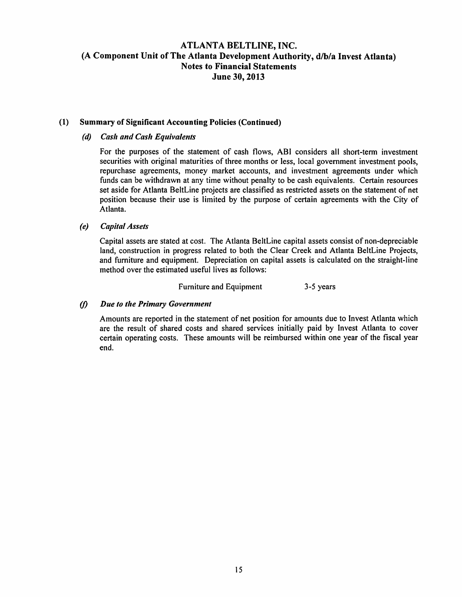### (1) Summary of Significant Accounting Policies (Continued)

#### *(d) Cash and Casll Equivalents*

For the purposes of the statement of cash flows, ABI considers all short-term investment securities with original maturities of three months or less, local government investment pools, repurchase agreements, money market accounts, and investment agreements under which funds can be withdrawn at any time without penalty to be cash equivalents. Certain resources set aside for Atlanta BeltLine projects are classified as restricted assets on the statement of net position because their use is limited by the purpose of certain agreements with the City of Atlanta.

#### *(e) Capital Assets*

Capital assets are stated at cost. The Atlanta BeltLine capital assets consist of non-depreciable land, construction in progress related to both the Clear Creek and Atlanta BeltLine Projects, and furniture and equipment. Depreciation on capital assets is calculated on the straight-line method over the estimated useful lives as follows:

#### Furniture and Equipment 3-5 years

#### (f) Due to the Primary Government

Amounts are reported in the statement of net position for amounts due to Invest Atlanta which are the result of shared costs and shared services initially paid by Invest Atlanta to cover certain operating costs. These amounts will be reimbursed within one year of the fiscal year end.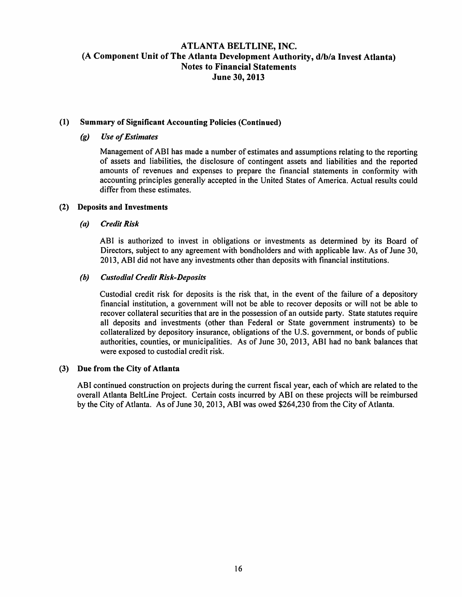### (1) Summary of Significant Accounting Policies (Continued)

#### *(g) Use of Estimates*

Management of ABI has made a number of estimates and assumptions relating to the reporting of assets and liabilities, the disclosure of contingent assets and liabilities and the reported amounts of revenues and expenses to prepare the financial statements in conformity with accounting principles generally accepted in the United States of America. Actual results could differ from these estimates.

#### (2) Deposits and Investments

#### *(a) Credit Risk*

ABI is authorized to invest in obligations or investments as determined by its Board of Directors, subject to any agreement with bondholders and with applicable law. As of June 30, 2013, ABI did not have any investments other than deposits with financial institutions.

#### *(b)* Custodial Credit Risk-Deposits

Custodial credit risk for deposits is the risk that, in the event of the failure of a depository financial institution, a government will not be able to recover deposits or will not be able to recover collateral securities that are in the possession of an outside party. State statutes require all deposits and investments (other than Federal or State government instruments) to be collateralized by depository insurance, obligations of the U.S. government, or bonds of public authorities, counties, or municipalities. As of June 30, 2013, ABI had no bank balances that were exposed to custodial credit risk.

#### (3) Due from the City of Atlanta

ABI continued construction on projects during the current fiscal year, each of which are related to the overall Atlanta BeltLine Project. Certain costs incurred by ABI on these projects will be reimbursed by the City of Atlanta. As of June 30, 2013, ABI was owed \$264,230 from the City of Atlanta.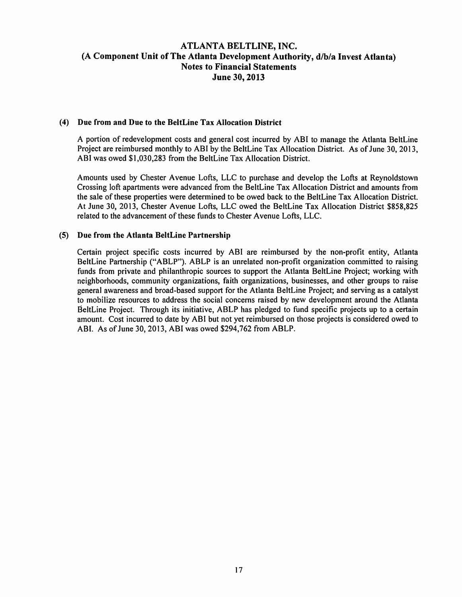#### ( 4) Due from and Due to the BeltLine Tax Allocation District

A portion of redevelopment costs and general cost incurred by ABI to manage the Atlanta BeltLine Project are reimbursed monthly to ABI by the BeltLine Tax Allocation District. As of June 30, 2013, ABI was owed \$1,030,283 from the BeltLine Tax Allocation District.

Amounts used by Chester Avenue Lofts, LLC to purchase and develop the Lofts at Reynoldstown Crossing loft apartments were advanced from the BeltLine Tax Allocation District and amounts from the sale of these properties were determined to be owed back to the BeltLine Tax Allocation District. At June 30, 2013, Chester Avenue Lofts, LLC owed the BeltLine Tax Allocation District \$858,825 related to the advancement of these funds to Chester Avenue Lofts, LLC.

#### (5) Due from the Atlanta BeltLine Partnership

Certain project specific costs incurred by ABI are reimbursed by the non-profit entity, Atlanta BeltLine Partnership ("ABLP"). ABLP is an unrelated non-profit organization committed to raising funds from private and philanthropic sources to support the Atlanta BeltLine Project; working with neighborhoods, community organizations, faith organizations, businesses, and other groups to raise general awareness and broad-based support for the Atlanta BeltLine Project; and serving as a catalyst to mobilize resources to address the social concerns raised by new development around the Atlanta BeltLine Project. Through its initiative, ABLP has pledged to fund specific projects up to a certain amount. Cost incurred to date by ABI but not yet reimbursed on those projects is considered owed to ABI. As of June 30, 2013, ABI was owed \$294,762 from ABLP.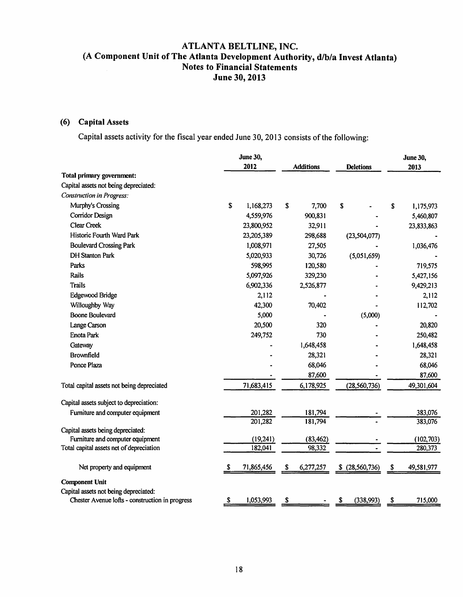## (6) Capital Assets

Capital assets activity for the fiscal year ended June 30, 2013 consists of the following:

|                                                 |    | <b>June 30,</b> |    |                  |                  |                |    | <b>June 30,</b> |
|-------------------------------------------------|----|-----------------|----|------------------|------------------|----------------|----|-----------------|
|                                                 |    | 2012            |    | <b>Additions</b> | <b>Deletions</b> |                |    | 2013            |
| Total primary government:                       |    |                 |    |                  |                  |                |    |                 |
| Capital assets not being depreciated:           |    |                 |    |                  |                  |                |    |                 |
| <b>Construction in Progress:</b>                |    |                 |    |                  |                  |                |    |                 |
| Murphy's Crossing                               | \$ | 1,168,273       | \$ | 7,700            | \$               |                | \$ | 1,175,973       |
| Corridor Design                                 |    | 4,559,976       |    | 900,831          |                  |                |    | 5,460,807       |
| <b>Clear Creek</b>                              |    | 23,800,952      |    | 32,911           |                  |                |    | 23,833,863      |
| Historic Fourth Ward Park                       |    | 23,205,389      |    | 298,688          |                  | (23, 504, 077) |    |                 |
| <b>Boulevard Crossing Park</b>                  |    | 1,008,971       |    | 27,505           |                  |                |    | 1,036,476       |
| <b>DH Stanton Park</b>                          |    | 5,020,933       |    | 30,726           |                  | (5,051,659)    |    |                 |
| Parks                                           |    | 598,995         |    | 120,580          |                  |                |    | 719,575         |
| <b>Rails</b>                                    |    | 5,097,926       |    | 329,230          |                  |                |    | 5,427,156       |
| <b>Trails</b>                                   |    | 6,902,336       |    | 2,526,877        |                  |                |    | 9,429,213       |
| Edgewood Bridge                                 |    | 2,112           |    |                  |                  |                |    | 2,112           |
| Willoughby Way                                  |    | 42,300          |    | 70,402           |                  |                |    | 112,702         |
| <b>Boone Boulevard</b>                          |    | 5,000           |    |                  |                  | (5,000)        |    |                 |
| Lange Carson                                    |    | 20,500          |    | 320              |                  |                |    | 20,820          |
| Enota Park                                      |    | 249,752         |    | 730              |                  |                |    | 250,482         |
| Gateway                                         |    |                 |    | 1,648,458        |                  |                |    | 1,648,458       |
| <b>Brownfield</b>                               |    |                 |    | 28,321           |                  |                |    | 28,321          |
| Ponce Plaza                                     |    |                 |    | 68,046           |                  |                |    | 68,046          |
|                                                 |    |                 |    | 87,600           |                  |                |    | 87,600          |
| Total capital assets not being depreciated      |    | 71,683,415      |    | 6,178,925        |                  | (28, 560, 736) |    | 49,301,604      |
| Capital assets subject to depreciation:         |    |                 |    |                  |                  |                |    |                 |
| Furniture and computer equipment                |    | 201,282         |    | 181,794          |                  |                |    | 383,076         |
|                                                 |    | 201,282         |    | 181,794          |                  |                |    | 383,076         |
| Capital assets being depreciated:               |    |                 |    |                  |                  |                |    |                 |
| Furniture and computer equipment                |    | (19, 241)       |    | (83, 462)        |                  |                |    | (102, 703)      |
| Total capital assets net of depreciation        |    | 182,041         |    | 98,332           |                  |                |    | 280,373         |
| Net property and equipment                      | 2. | 71,865,456      | S  | 6,277,257        | S.               | (28, 560, 736) | S  | 49,581,977      |
| <b>Component Unit</b>                           |    |                 |    |                  |                  |                |    |                 |
| Capital assets not being depreciated:           |    |                 |    |                  |                  |                |    |                 |
| Chester Avenue lofts - construction in progress | \$ | 1,053,993       | \$ |                  | S,               | (338,993)      | \$ | 715,000         |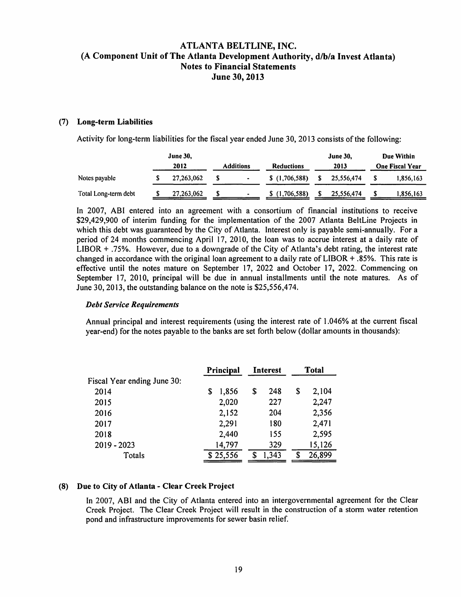### (7) Long-term Liabilities

Activity for long-term liabilities for the fiscal year ended June 30, 2013 consists of the following:

|                      |  | <b>June 30,</b> |                  |           |                   |      | <b>June 30,</b> | Due Within             |
|----------------------|--|-----------------|------------------|-----------|-------------------|------|-----------------|------------------------|
|                      |  |                 | <b>Additions</b> |           | <b>Reductions</b> | 2013 |                 | <b>One Fiscal Year</b> |
| Notes payable        |  | 27.263,062      |                  | $\bullet$ | \$(1,706,588)     | s.   | 25,556,474      | 1,856,163              |
| Total Long-term debt |  | 27,263,062      |                  | ٠         | (1,706,588)       |      | 25,556,474      | \$<br>1,856,163        |

In 2007, ABI entered into an agreement with a consortium of financial institutions to receive \$29,429,900 of interim funding for the implementation of the 2007 Atlanta BeltLine Projects in which this debt was guaranteed by the City of Atlanta. Interest only is payable semi-annually. For a period of 24 months commencing April 17, 2010, the loan was to accrue interest at a daily rate of LIBOR + .75%. However, due to a downgrade of the City of Atlanta's debt rating, the interest rate changed in accordance with the original loan agreement to a daily rate of LIBOR  $+$  .85%. This rate is effective until the notes mature on September 17, 2022 and October 17, 2022. Commencing on September 17, 2010, principal will be due in annual installments until the note matures. As of June 30, 2013, the outstanding balance on the note is \$25,556,474.

#### *Debt Service Requirements*

Annual principal and interest requirements (using the interest rate of 1.046% at the current fiscal year-end) for the notes payable to the banks are set forth below (dollar amounts in thousands):

|                             | Principal  | Interest   | <b>Total</b> |  |  |
|-----------------------------|------------|------------|--------------|--|--|
| Fiscal Year ending June 30: |            |            |              |  |  |
| 2014                        | 1,856<br>S | \$<br>248  | \$<br>2,104  |  |  |
| 2015                        | 2,020      | 227        | 2,247        |  |  |
| 2016                        | 2,152      | 204        | 2,356        |  |  |
| 2017                        | 2,291      | 180        | 2,471        |  |  |
| 2018                        | 2,440      | 155        | 2,595        |  |  |
| 2019 - 2023                 | 14,797     | 329        | 15,126       |  |  |
| Totals                      | \$25,556   | 1,343<br>S | 26,899<br>S. |  |  |
|                             |            |            |              |  |  |

## (8) Due to City of Atlanta - Clear Creek Project

In 2007, ABI and the City of Atlanta entered into an intergovernmental agreement for the Clear Creek Project. The Clear Creek Project will result in the construction of a storm water retention pond and infrastructure improvements for sewer basin relief.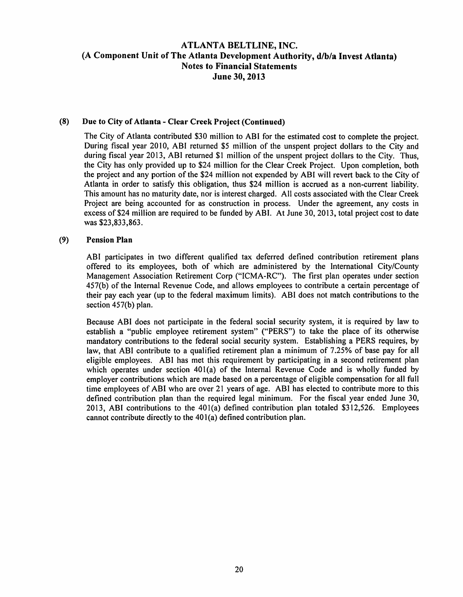#### (8) Due to City of Atlanta - Clear Creek Project (Continued)

The City of Atlanta contributed \$30 million to ABI for the estimated cost to complete the project. During fiscal year 2010, ABI returned \$5 million of the unspent project dollars to the City and during fiscal year 2013, ABI returned \$1 million of the unspent project dollars to the City. Thus, the City has only provided up to \$24 million for the Clear Creek Project. Upon completion, both the project and any portion of the \$24 million not expended by ABI will revert back to the City of Atlanta in order to satisfy this obligation, thus \$24 million is accrued as a non-current liability. This amount has no maturity date, nor is interest charged. All costs associated with the Clear Creek Project are being accounted for as construction in process. Under the agreement, any costs in excess of \$24 million are required to be funded by ABI. At June 30, 2013, total project cost to date was \$23,833,863.

#### (9) Pension Plan

ABI participates in two different qualified tax deferred defined contribution retirement plans offered to its employees, both of which are administered by the International City/County Management Association Retirement Corp ("ICMA-RC"). The first plan operates under section 457(b) of the Internal Revenue Code, and allows employees to contribute a certain percentage of their pay each year (up to the federal maximum limits). ABI does not match contributions to the section 457(b) plan.

Because ABI does not participate in the federal social security system, it is required by law to establish a "public employee retirement system" ("PERS") to take the place of its otherwise mandatory contributions to the federal social security system. Establishing a PERS requires, by law, that ABI contribute to a qualified retirement plan a minimum of 7.25% of base pay for all eligible employees. ABI has met this requirement by participating in a second retirement plan which operates under section 401(a) of the Internal Revenue Code and is wholly funded by employer contributions which are made based on a percentage of eligible compensation for all full time employees of ABI who are over 21 years of age. ABI has elected to contribute more to this defined contribution plan than the required legal minimum. For the fiscal year ended June 30, 2013, ABI contributions to the  $401(a)$  defined contribution plan totaled \$312,526. Employees cannot contribute directly to the 401(a) defined contribution plan.